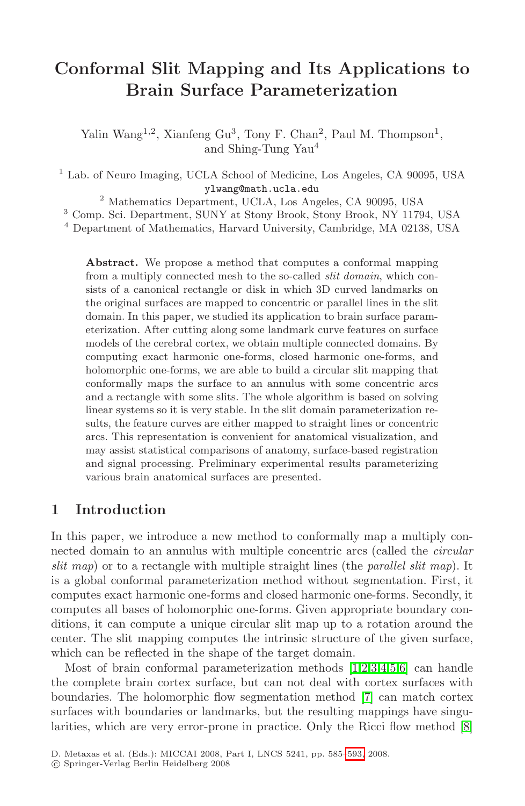# **Conformal Slit Mapping and Its Applications to Brain Surface Parameterization**

Yalin Wang<sup>1,2</sup>, Xianfeng Gu<sup>3</sup>, Tony F. Chan<sup>2</sup>, Paul M. Thompson<sup>1</sup>, and Shing-Tung Yau<sup>4</sup>

<sup>1</sup> Lab. of Neuro Imaging, UCLA School of Medicine, Los Angeles, CA 90095, USA ylwang@math.ucla.edu

<sup>2</sup> Mathematics Department, UCLA, Los Angeles, CA 90095, USA

<sup>3</sup> Comp. Sci. Department, SUNY at Stony Brook, Stony Brook, NY 11794, USA

<sup>4</sup> Department of Mathematics, Harvard University, Cambridge, MA 02138, USA

**Abstract.** We propose a method that computes a conformal mapping from a multiply connected mesh to the so-called slit domain, which consists of a canonical rectangle or disk in which 3D curved landmarks on the original surfaces are mapped to concentric or parallel lines in the slit domain. In this paper, we studied its application to brain surface parameterization. After cutting along some landmark curve features on surface models of the cerebral cortex, we obtain multiple connected domains. By computing exact harmonic one-forms, closed harmonic one-forms, and holomorphic one-forms, we are able to build a circular slit mapping that conformally maps the surface to an annulus with some concentric arcs and a rectangle with some slits. The whole algorithm is based on solving linear systems so it is very stable. In the slit domain parameterization results, the feature curves are either mapped to straight lines or concentric arcs. This representation is convenient for anatomical visualization, and may assist statistical comparisons of anatomy, surface-based registration and signal processing. Preliminary experimental results parameterizing various brain anatomical surfaces are presented.

# **1 Introduction**

In this paper, we introduce a new method to conformally map a multiply connected domain to an annulus with multiple concentric arcs (called the circular slit map) or to a rectangle with multiple straight lines (the *parallel slit map*). It is a global conformal parameterization method without segmentation. First, it computes exact harmonic one-forms and closed harmonic one-forms. Secondly, it computes all bases of holomorphic one-forms. Given appropriate boundary conditions, it can compute a unique circular slit map up to a rotation around the center. The slit mapping computes [the](#page-8-0) intrinsic structure of the given surface, which can be reflected in the shape of the target domain.

Most of brain conformal parameterization methods [1,2,3,4,5,6] can handle the complete brain cortex surface, but can not deal with cortex surfaces with boundaries. The holomorphic flow segmentation method [7] can match cortex surfaces with boundaries or landmarks, but the resulting mappings have singularities, which are very error-prone in practice. Only the Ricci flow method  $[8]$ 

D. Metaxas et al. (Eds.): MICCAI 2008, Part I, LNCS 5241, pp. 585–593, 2008.

<sup>-</sup>c Springer-Verlag Berlin Heidelberg 2008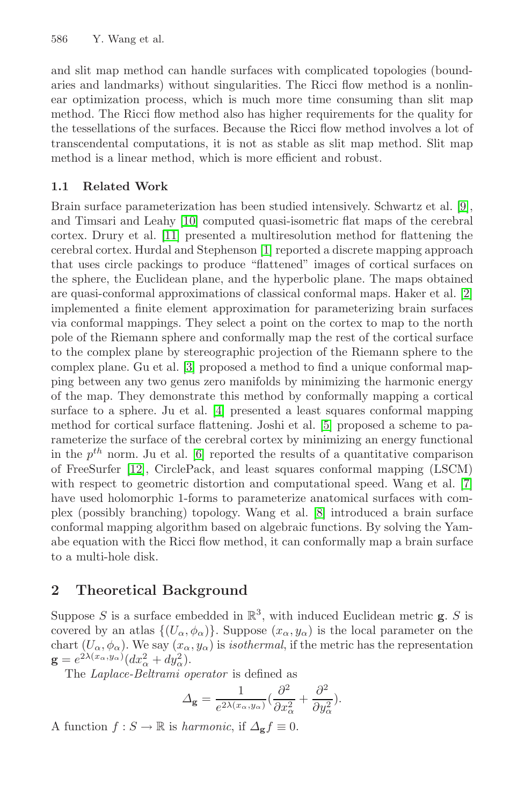and slit map method can handle surfaces with complicated topologies (boundaries and landmarks) without singularities. The Ricci flow method is a nonlinear optimization process, which is much more time consuming than slit map method. The Ricci flow method also has higher requirements for the quality for the tessellations of the surfaces. Because the Ricci flow method involves a lot of transcendental computations, it is not as stable as slit map method. Slit map method is a linear method, which is more efficient and robust.

# **1.1 Related Work**

Brain surface parameterization has been studied intensively. Schwartz et al. [9], and Timsari and Leahy [10] computed quasi-isometric flat maps of the cerebral cortex. Drury et al. [11] presented a multiresolution method for flattening the cerebral cortex. Hurdal and Stephenson [1] reported a discrete mapping approach that uses circle packings to produce "flattened" images of cortical surfaces on the sphere, the Euclidean plane, and the hyperbolic plane. The maps obtained are quasi-conformal approximations of classical conformal maps. Haker et al. [2] implemented a finite element approximation for parameterizing brain surfaces via conformal mappings. They select a point on the cortex to map to the north pole of the Riemann sphere and conformally map the rest of the cortical surface to the complex plane by stereographic projection of the Riemann sphere to the complex plane. Gu et al. [3] proposed a method to find a unique conformal mapping between any two genus zero manifolds by minimizing the harmonic energy of the map. They demonstrate this method by conformally mapping a cortical surface to a sphere. Ju et al. [4] presented a least squares conformal mapping method for cortical surface flattening. Joshi et al. [5] proposed a scheme to parameterize the surface of the cerebral cortex by minimizing an energy functional in the  $p^{th}$  norm. Ju et al. [6] reported the results of a quantitative comparison of FreeSurfer [12], CirclePack, and least squares conformal mapping (LSCM) with respect to geometric distortion and computational speed. Wang et al. [7] have used holomorphic 1-forms to parameterize anatomical surfaces with complex (possibly branching) topology. Wang et al. [8] introduced a brain surface conformal mapping algorithm based on algebraic functions. By solving the Yamabe equation with the Ricci flow method, it can conformally map a brain surface to a multi-hole disk.

## **2 Theoretical Background**

Suppose S is a surface embedded in  $\mathbb{R}^3$ , with induced Euclidean metric **g**. S is covered by an atlas  $\{(U_{\alpha}, \phi_{\alpha})\}$ . Suppose  $(x_{\alpha}, y_{\alpha})$  is the local parameter on the chart  $(U_{\alpha}, \phi_{\alpha})$ . We say  $(x_{\alpha}, y_{\alpha})$  is *isothermal*, if the metric has the representation  $\mathbf{g} = e^{2\lambda(x_\alpha, y_\alpha)}(dx_\alpha^2 + dy_\alpha^2).$ 

The Laplace-Beltrami operator is defined as

$$
\Delta_{\mathbf{g}} = \frac{1}{e^{2\lambda(x_{\alpha}, y_{\alpha})}} \left(\frac{\partial^2}{\partial x_{\alpha}^2} + \frac{\partial^2}{\partial y_{\alpha}^2}\right).
$$

A function  $f : S \to \mathbb{R}$  is *harmonic*, if  $\Delta_{\mathbf{g}} f \equiv 0$ .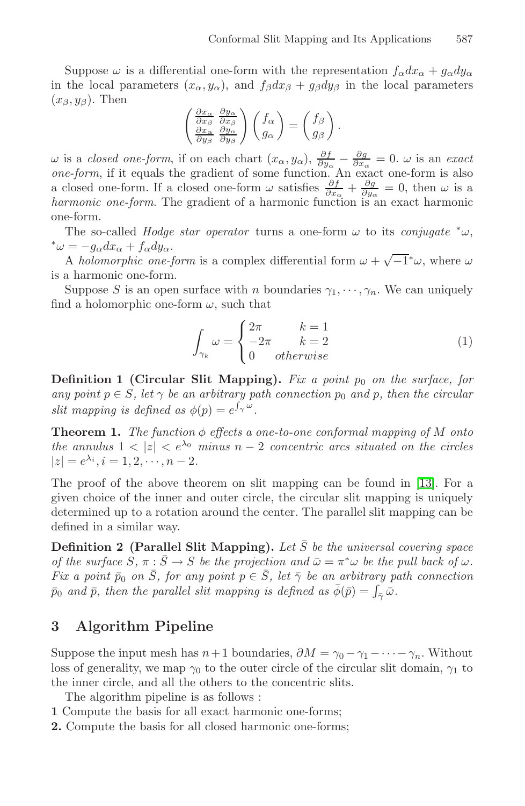Suppose  $\omega$  is a differential one-form with the representation  $f_{\alpha}dx_{\alpha} + g_{\alpha}dy_{\alpha}$ in the local parameters  $(x_{\alpha}, y_{\alpha})$ , and  $f_{\beta}dx_{\beta} + g_{\beta}dy_{\beta}$  in the local parameters  $(x_{\beta}, y_{\beta})$ . Then

$$
\begin{pmatrix}\n\frac{\partial x_{\alpha}}{\partial x_{\beta}} & \frac{\partial y_{\alpha}}{\partial x_{\beta}} \\
\frac{\partial x_{\alpha}}{\partial y_{\beta}} & \frac{\partial y_{\alpha}}{\partial y_{\beta}}\n\end{pmatrix}\n\begin{pmatrix}\nf_{\alpha} \\
g_{\alpha}\n\end{pmatrix} =\n\begin{pmatrix}\nf_{\beta} \\
g_{\beta}\n\end{pmatrix}.
$$

 $ω$  is a *closed one-form*, if on each chart  $(x<sub>α</sub>, y<sub>α</sub>)$ ,  $\frac{\partial f}{\partial y<sub>α</sub>} - \frac{\partial g}{\partial x<sub>α</sub>} = 0$ .  $ω$  is an *exact* one-form, if it equals the gradient of some function. An exact one-form is also a closed one-form. If a closed one-form  $\omega$  satisfies  $\frac{\partial f}{\partial x_\alpha} + \frac{\partial g}{\partial y_\alpha} = 0$ , then  $\omega$  is a harmonic one-form. The gradient of a harmonic function is an exact harmonic one-form.

The so-called *Hodge star operator* turns a one-form  $\omega$  to its *conjugate*  $*\omega$ ,  $*\omega = -g_{\alpha}dx_{\alpha} + f_{\alpha}dy_{\alpha}.$ 

A holomorphic one-form is a complex differential form  $\omega + \sqrt{-1}^*\omega$ , where  $\omega$ is a harmonic one-form.

Suppose S is an open surface with n boundaries  $\gamma_1, \dots, \gamma_n$ . We can uniquely find a holomorphic one-form  $\omega$ , such that

$$
\int_{\gamma_k} \omega = \begin{cases} 2\pi & k = 1 \\ -2\pi & k = 2 \\ 0 & otherwise \end{cases}
$$
 (1)

**Definition 1 (Circular Slit Mapping).** Fix a point  $p_0$  on the surface, for any point  $p \in S$ , let  $\gamma$  be an arbitrary path connection  $p_0$  and p, then the circular slit mapping is defined as  $\phi(p) = e^{\int_{\gamma} \omega}$ .

**Theorem 1.** The function  $\phi$  effects a one-to-one conformal mapping of M onto the annulus  $1 < |z| < e^{\lambda_0}$  minus  $n-2$  concentric arcs situated on the circles  $|z| = e^{\lambda_i}, i = 1, 2, \cdots, n-2.$ 

The proof of the above theorem on slit mapping can be found in [13]. For a given choice of the inner and outer circle, the circular slit mapping is uniquely determined up to a rotation around the center. The parallel slit mapping can be defined in a similar way.

**Definition 2 (Parallel Slit Mapping).** Let  $\overline{S}$  be the universal covering space of the surface  $S, \pi : \overline{S} \to S$  be the projection and  $\overline{\omega} = \pi^* \omega$  be the pull back of  $\omega$ . Fix a point  $\bar{p}_0$  on  $\bar{S}$ , for any point  $p \in \bar{S}$ , let  $\bar{\gamma}$  be an arbitrary path connection  $\bar{p}_0$  and  $\bar{p}$ , then the parallel slit mapping is defined as  $\bar{\phi}(\bar{p}) = \int_{\bar{\gamma}} \bar{\omega}$ .

# **3 Algorithm Pipeline**

Suppose the input mesh has  $n+1$  boundaries,  $\partial M = \gamma_0 - \gamma_1 - \cdots - \gamma_n$ . Without loss of generality, we map  $\gamma_0$  to the outer circle of the circular slit domain,  $\gamma_1$  to the inner circle, and all the others to the concentric slits.

The algorithm pipeline is as follows :

- **1** Compute the basis for all exact harmonic one-forms;
- **2.** Compute the basis for all closed harmonic one-forms;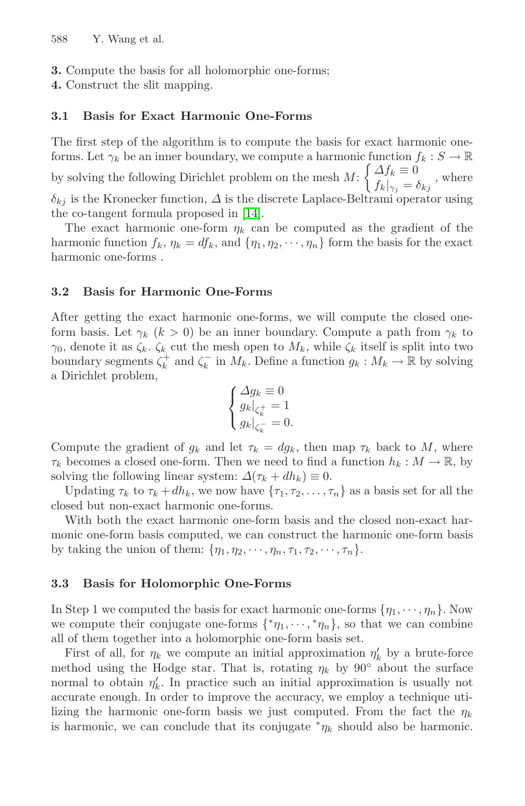**3.** Compute the basis for all holomorphic one-forms;

**4.** Construct the slit mapping.

#### **3.1 Basis for Exact Harmonic One-Forms**

The first step of the algorithm is to compute the basis for exact harmonic oneforms. Let  $\gamma_k$  be an inner boundary, we compute a harmonic function  $f_k : S \to \mathbb{R}$ by solving the following Dirichlet problem on the mesh  $M: \begin{cases} \Delta f_k \equiv 0 \\ f_k \end{cases}$  $f_k|_{\gamma_j} = \delta_{kj}$ , where  $\delta_{kj}$  is the Kronecker function,  $\Delta$  is the discrete Laplace-Beltrami operator using

the co-tangent formula proposed in [14].

The exact harmonic one-form  $\eta_k$  can be computed as the gradient of the harmonic function  $f_k$ ,  $\eta_k = df_k$ , and  $\{\eta_1, \eta_2, \dots, \eta_n\}$  form the basis for the exact harmonic one-forms .

## **3.2 Basis for Harmonic One-Forms**

After getting the exact harmonic one-forms, we will compute the closed oneform basis. Let  $\gamma_k$  ( $k > 0$ ) be an inner boundary. Compute a path from  $\gamma_k$  to  $\gamma_0$ , denote it as  $\zeta_k$ .  $\zeta_k$  cut the mesh open to  $M_k$ , while  $\zeta_k$  itself is split into two boundary segments  $\zeta_k^+$  and  $\zeta_k^-$  in  $M_k$ . Define a function  $g_k : M_k \to \mathbb{R}$  by solving a Dirichlet problem,

$$
\begin{cases} \Delta g_k \equiv 0\\ g_k|_{\zeta_k^+} = 1\\ g_k|_{\zeta_k^-} = 0. \end{cases}
$$

Compute the gradient of  $g_k$  and let  $\tau_k = dg_k$ , then map  $\tau_k$  back to M, where  $\tau_k$  becomes a closed one-form. Then we need to find a function  $h_k : M \to \mathbb{R}$ , by solving the following linear system:  $\Delta(\tau_k + dh_k) \equiv 0$ .

Updating  $\tau_k$  to  $\tau_k + dh_k$ , we now have  $\{\tau_1, \tau_2, \ldots, \tau_n\}$  as a basis set for all the closed but non-exact harmonic one-forms.

With both the exact harmonic one-form basis and the closed non-exact harmonic one-form basis computed, we can construct the harmonic one-form basis by taking the union of them:  $\{\eta_1, \eta_2, \cdots, \eta_n, \tau_1, \tau_2, \cdots, \tau_n\}.$ 

#### **3.3 Basis for Holomorphic One-Forms**

In Step 1 we computed the basis for exact harmonic one-forms  $\{\eta_1, \dots, \eta_n\}$ . Now we compute their conjugate one-forms  $\{\n\text{*}\eta_1,\cdots,\n\text{*}\eta_n\}$ , so that we can combine all of them together into a holomorphic one-form basis set.

First of all, for  $\eta_k$  we compute an initial approximation  $\eta'_k$  by a brute-force method using the Hodge star. That is, rotating  $\eta_k$  by 90° about the surface normal to obtain  $\eta'_k$ . In practice such an initial approximation is usually not accurate enough. In order to improve the accuracy, we employ a technique utilizing the harmonic one-form basis we just computed. From the fact the  $\eta_k$ is harmonic, we can conclude that its conjugate  $\eta_k$  should also be harmonic.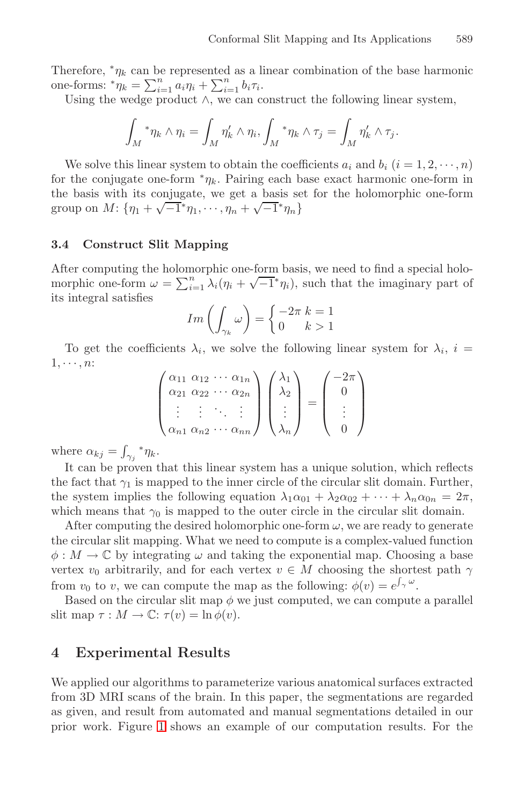Therefore,  $\gamma_k$  can be represented as a linear combination of the base harmonic one-forms:  $^*\eta_k = \sum_{i=1}^n a_i \eta_i + \sum_{i=1}^n b_i \tau_i$ .

Using the wedge product  $\wedge$ , we can construct the following linear system,

$$
\int_M * \eta_k \wedge \eta_i = \int_M \eta'_k \wedge \eta_i, \int_M * \eta_k \wedge \tau_j = \int_M \eta'_k \wedge \tau_j.
$$

We solve this linear system to obtain the coefficients  $a_i$  and  $b_i$   $(i = 1, 2, \dots, n)$ for the conjugate one-form  $n_k$ . Pairing each base exact harmonic one-form in the basis with its conjugate, we get a basis set for the holomorphic one-form group on  $M: \{\eta_1 + \sqrt{-1}^*\eta_1, \cdots, \eta_n + \sqrt{-1}^*\eta_n\}$ 

## **3.4 Construct Slit Mapping**

After computing the holomorphic one-form basis, we need to find a special holo-After computing the holomorphic one-form basis, we need to find a special holomorphic one-form  $\omega = \sum_{i=1}^{n} \lambda_i (\eta_i + \sqrt{-1}^* \eta_i)$ , such that the imaginary part of its integral satisfies

$$
Im\left(\int_{\gamma_k}\omega\right) = \begin{cases} -2\pi & k=1\\ 0 & k>1 \end{cases}
$$

To get the coefficients  $\lambda_i$ , we solve the following linear system for  $\lambda_i$ ,  $i =$  $1, \cdots, n$ :

$$
\begin{pmatrix}\n\alpha_{11} & \alpha_{12} & \cdots & \alpha_{1n} \\
\alpha_{21} & \alpha_{22} & \cdots & \alpha_{2n} \\
\vdots & \vdots & \ddots & \vdots \\
\alpha_{n1} & \alpha_{n2} & \cdots & \alpha_{nn}\n\end{pmatrix}\n\begin{pmatrix}\n\lambda_1 \\
\lambda_2 \\
\vdots \\
\lambda_n\n\end{pmatrix} =\n\begin{pmatrix}\n-2\pi \\
0 \\
\vdots \\
0\n\end{pmatrix}
$$

where  $\alpha_{kj} = \int_{\gamma_j} * \eta_k$ .

It can be proven that this linear system has a unique solution, which reflects the fact that  $\gamma_1$  is mapped to the inner circle of the circular slit domain. Further, the system implies the following equation  $\lambda_1 \alpha_{01} + \lambda_2 \alpha_{02} + \cdots + \lambda_n \alpha_{0n} = 2\pi$ , which means that  $\gamma_0$  is mapped to the outer circle in the circular slit domain.

After computing the desired holomorphic one-form  $\omega$ , we are ready to generate the circular slit mapping. What we need to compute is a complex-valued function  $\phi: M \to \mathbb{C}$  by integrating  $\omega$  and taking the exponential map. Choosing a base vertex  $v_0$  arbitrarily, and for each vertex  $v \in M$  choosing the shortest path  $\gamma$ from  $v_0$  to  $v$ , we can compute the map as the following:  $\phi(v) = e^{\int_{\gamma} \omega}$ .

Based on the circular slit map  $\phi$  we just computed, we can compute a parallel slit map  $\tau : M \to \mathbb{C}$ :  $\tau(v) = \ln \phi(v)$ .

# **4 Experimental Results**

We applied our algorithms to parameterize various anatomical surfaces extracted from 3D MRI scans of the brain. In this paper, the segmentations are regarded as given, and result from automated and manual segmentations detailed in our prior work. Figure 1 shows an example of our computation results. For the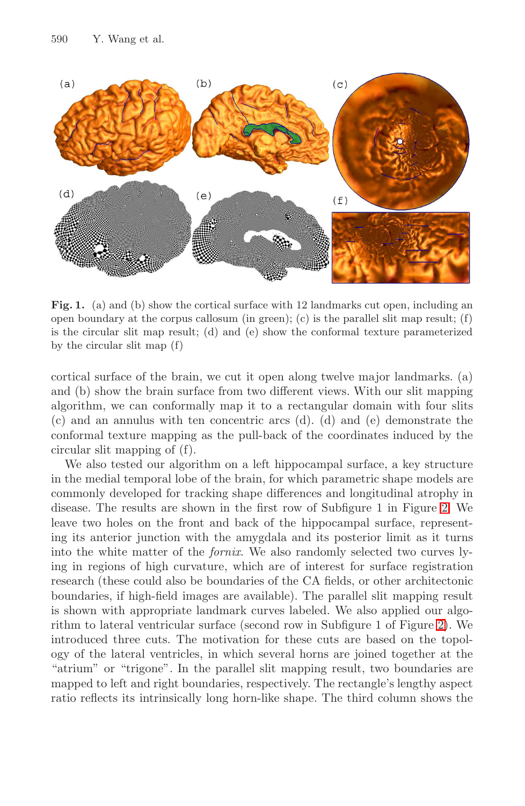

Fig. 1. (a) and (b) show the cortical surface with 12 landmarks cut open, including an open boundary at the corpus callosum (in green); (c) is the parallel slit map result; (f) is the circular slit map result; (d) and (e) show the conformal texture parameterized by the circular slit map (f)

cortical surface of the brain, we cut it open along twelve major landmarks. (a) and (b) show the brain surface from two different views. With our slit mapping algorithm, we can conformally map it to a rectangular domain with four slits (c) and an annulus with ten concentric arcs (d). (d) and (e) demonstrate the conformal texture mapping as the pull-back of the coordinates induced by the circular slit mapping of (f).

We also tested our algorithm on a left hippocampal surface, a key structure in the medial temporal lobe of the brain, for which parametric shape models are commonly developed for tracking shape differences and longitudinal atrophy in disease. The results are shown in the first row of Subfigure 1 in Figure 2. We leave two holes on the front and back of the hippocampal surface, representing its anterior junction with the amygdala and its posterior limit as it turns into the white matter of the fornix. We also randomly selected two curves lying in regions of high curvature, which are of interest for surface registration research (these could also be boundaries of the CA fields, or other architectonic boundaries, if high-field images are available). The parallel slit mapping result is shown with appropriate landmark curves labeled. We also applied our algorithm to lateral ventricular surface (second row in Subfigure 1 of Figure 2). We introduced three cuts. The motivation for these cuts are based on the topology of the lateral ventricles, in which several horns are joined together at the "atrium" or "trigone". In the parallel slit mapping result, two boundaries are mapped to left and right boundaries, respectively. The rectangle's lengthy aspect ratio reflects its intrinsically long horn-like shape. The third column shows the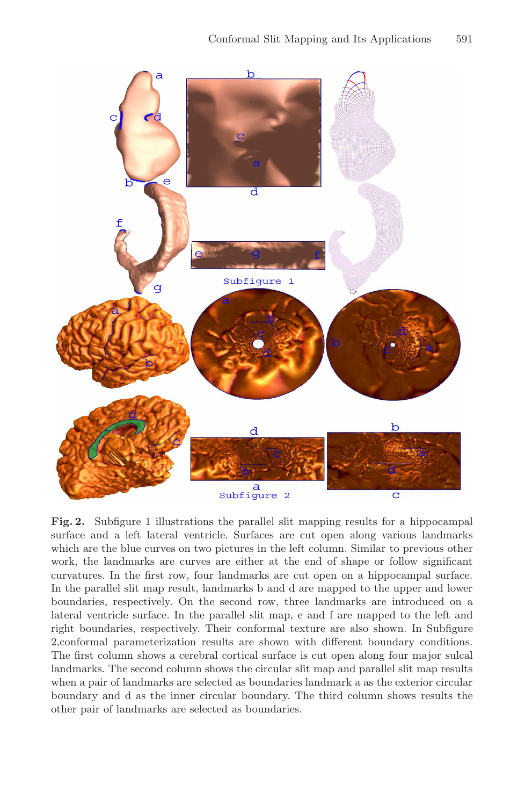

**Fig. 2.** Subfigure 1 illustrations the parallel slit mapping results for a hippocampal surface and a left lateral ventricle. Surfaces are cut open along various landmarks which are the blue curves on two pictures in the left column. Similar to previous other work, the landmarks are curves are either at the end of shape or follow significant curvatures. In the first row, four landmarks are cut open on a hippocampal surface. In the parallel slit map result, landmarks b and d are mapped to the upper and lower boundaries, respectively. On the second row, three landmarks are introduced on a lateral ventricle surface. In the parallel slit map, e and f are mapped to the left and right boundaries, respectively. Their conformal texture are also shown. In Subfigure 2,conformal parameterization results are shown with different boundary conditions. The first column shows a cerebral cortical surface is cut open along four major sulcal landmarks. The second column shows the circular slit map and parallel slit map results when a pair of landmarks are selected as boundaries landmark a as the exterior circular boundary and d as the inner circular boundary. The third column shows results the other pair of landmarks are selected as boundaries.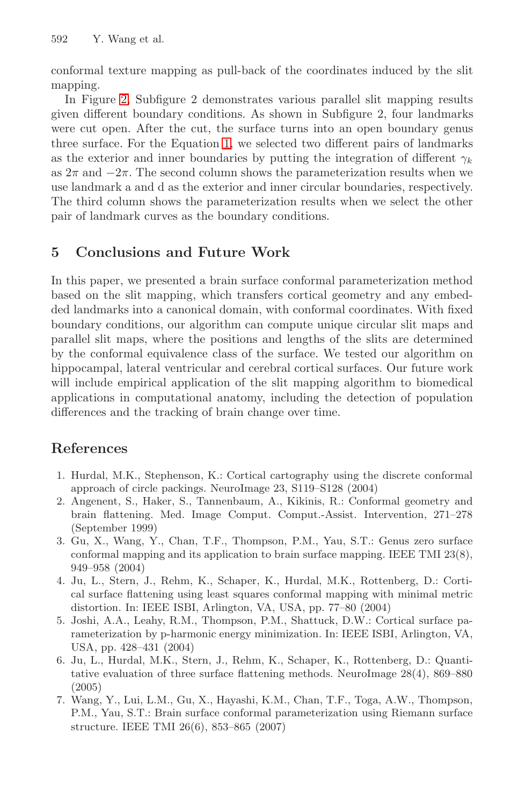conformal texture mapping as pull-back of the coordinates induced by the slit mapping.

In Figure 2, Subfigure 2 demonstrates various parallel slit mapping results given different boundary conditions. As shown in Subfigure 2, four landmarks were cut open. After the cut, the surface turns into an open boundary genus three surface. For the Equation 1, we selected two different pairs of landmarks as the exterior and inner boundaries by putting the integration of different  $\gamma_k$ as  $2\pi$  and  $-2\pi$ . The second column shows the parameterization results when we use landmark a and d as the exterior and inner circular boundaries, respectively. The third column shows the parameterization results when we select the other pair of landmark curves as the boundary conditions.

# **5 Conclusions and Future Work**

In this paper, we presented a brain surface conformal parameterization method based on the slit mapping, which transfers cortical geometry and any embedded landmarks into a canonical domain, with conformal coordinates. With fixed boundary conditions, our algorithm can compute unique circular slit maps and parallel slit maps, where the positions and lengths of the slits are determined by the conformal equivalence class of the surface. We tested our algorithm on hippocampal, lateral ventricular and cerebral cortical surfaces. Our future work will include empirical application of the slit mapping algorithm to biomedical applications in computational anatomy, including the detection of population differences and the tracking of brain change over time.

# **References**

- 1. Hurdal, M.K., Stephenson, K.: Cortical cartography using the discrete conformal approach of circle packings. NeuroImage 23, S119–S128 (2004)
- 2. Angenent, S., Haker, S., Tannenbaum, A., Kikinis, R.: Conformal geometry and brain flattening. Med. Image Comput. Comput.-Assist. Intervention, 271–278 (September 1999)
- 3. Gu, X., Wang, Y., Chan, T.F., Thompson, P.M., Yau, S.T.: Genus zero surface conformal mapping and its application to brain surface mapping. IEEE TMI 23(8), 949–958 (2004)
- 4. Ju, L., Stern, J., Rehm, K., Schaper, K., Hurdal, M.K., Rottenberg, D.: Cortical surface flattening using least squares conformal mapping with minimal metric distortion. In: IEEE ISBI, Arlington, VA, USA, pp. 77–80 (2004)
- 5. Joshi, A.A., Leahy, R.M., Thompson, P.M., Shattuck, D.W.: Cortical surface parameterization by p-harmonic energy minimization. In: IEEE ISBI, Arlington, VA, USA, pp. 428–431 (2004)
- 6. Ju, L., Hurdal, M.K., Stern, J., Rehm, K., Schaper, K., Rottenberg, D.: Quantitative evaluation of three surface flattening methods. NeuroImage 28(4), 869–880 (2005)
- 7. Wang, Y., Lui, L.M., Gu, X., Hayashi, K.M., Chan, T.F., Toga, A.W., Thompson, P.M., Yau, S.T.: Brain surface conformal parameterization using Riemann surface structure. IEEE TMI 26(6), 853–865 (2007)